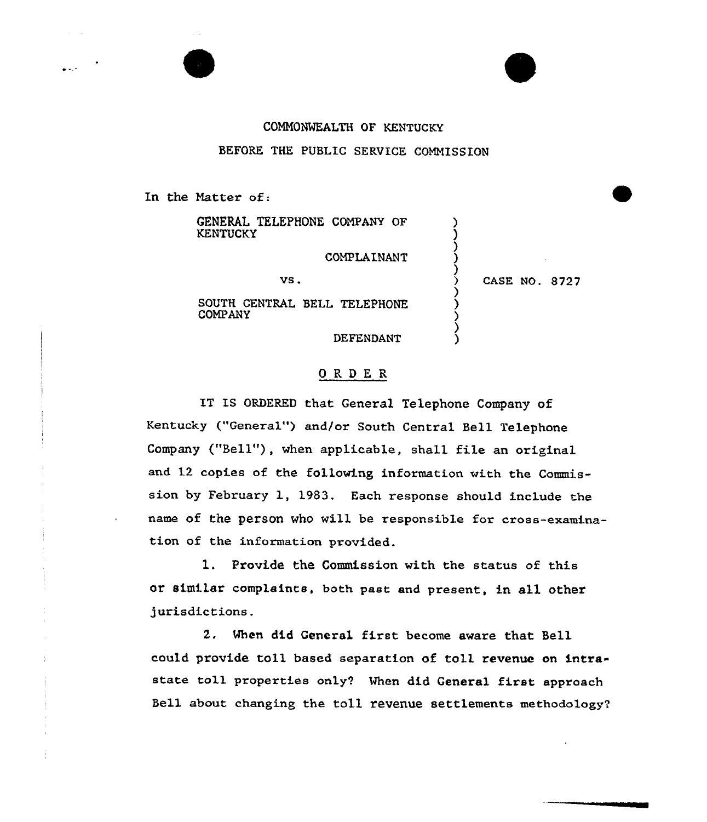## COMMONWEALTH OF KENTUCKY

## BEFORE THE PUBLIC SERVICE COMMISSION

In the Matter of:

COMPANY

GENERAL TELEPHONE COMPANY OF **KENTUCKY** 

COMPLAINANT

vs.

SOUTH CENTRAL BELL TELEPHONE

) CASE NO. 8727

) ) ) ) )

> ) ) ) ) )

DEFENDANT

## ORDER

IT IS ORDERED that General Telephone Company of Kentucky ("General") and/or South Central Bell Telephone Company ("Bell"), when applicable, shall file an original and 12 copies of the following information with the Commission by February l, 1983. Each response should include the name of the person who will be responsible for cross-examination of the information provided.

1. Provide the Commission with the status of this or similar complaints, both past and present, in all other jurisdictions.

2. When did General first become aware that Bell could provide toll based separation of toll revenue on intrastate toll properties only? When did General first approach Sell about changing the to11 revenue settlements methodology'